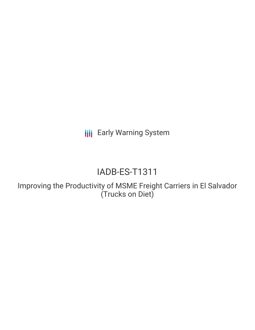**III** Early Warning System

# IADB-ES-T1311

Improving the Productivity of MSME Freight Carriers in El Salvador (Trucks on Diet)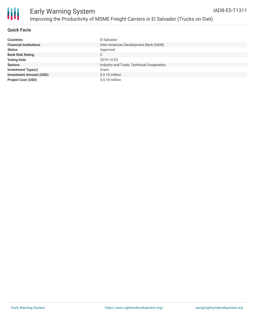

### **Quick Facts**

| <b>Countries</b>               | El Salvador                               |
|--------------------------------|-------------------------------------------|
| <b>Financial Institutions</b>  | Inter-American Development Bank (IADB)    |
| <b>Status</b>                  | Approved                                  |
| <b>Bank Risk Rating</b>        | С                                         |
| <b>Voting Date</b>             | 2019-12-03                                |
| <b>Sectors</b>                 | Industry and Trade, Technical Cooperation |
| <b>Investment Type(s)</b>      | Grant                                     |
| <b>Investment Amount (USD)</b> | $$0.15$ million                           |
| <b>Project Cost (USD)</b>      | $$0.18$ million                           |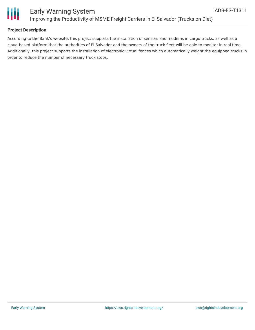

### **Project Description**

According to the Bank's website, this project supports the installation of sensors and modems in cargo trucks, as well as a cloud-based platform that the authorities of El Salvador and the owners of the truck fleet will be able to monitor in real time. Additionally, this project supports the installation of electronic virtual fences which automatically weight the equipped trucks in order to reduce the number of necessary truck stops.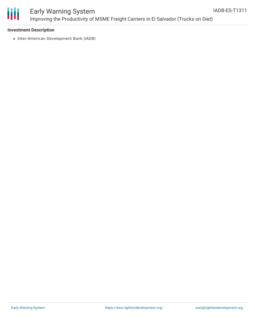

# Early Warning System Improving the Productivity of MSME Freight Carriers in El Salvador (Trucks on Diet)

### **Investment Description**

• Inter-American Development Bank (IADB)